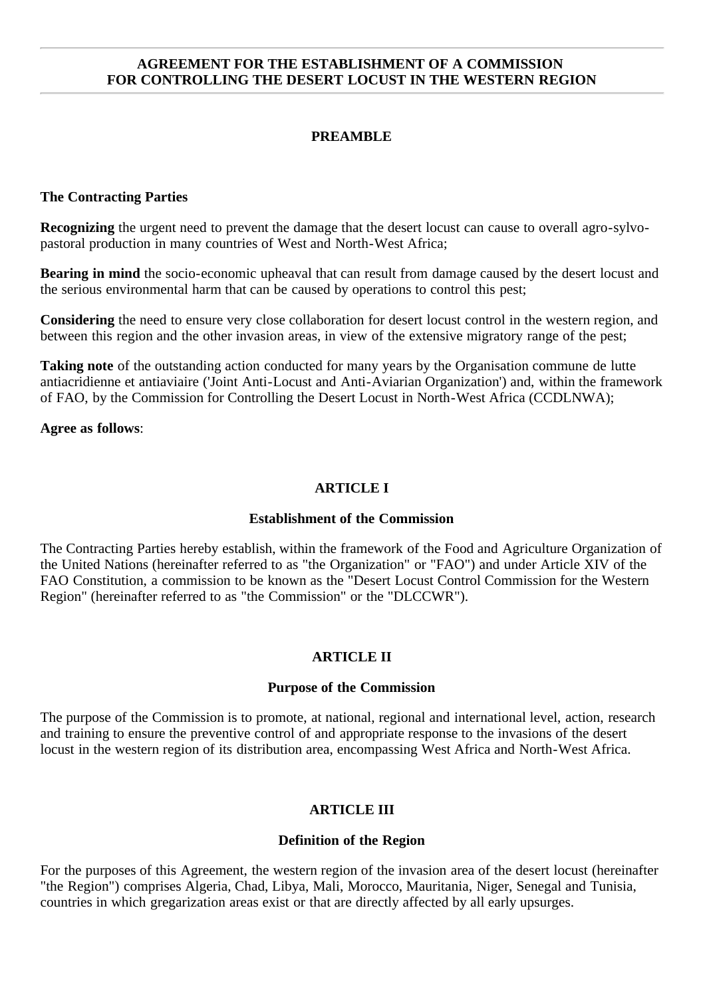### **AGREEMENT FOR THE ESTABLISHMENT OF A COMMISSION FOR CONTROLLING THE DESERT LOCUST IN THE WESTERN REGION**

# **PREAMBLE**

#### **The Contracting Parties**

**Recognizing** the urgent need to prevent the damage that the desert locust can cause to overall agro-sylvopastoral production in many countries of West and North-West Africa;

**Bearing in mind** the socio-economic upheaval that can result from damage caused by the desert locust and the serious environmental harm that can be caused by operations to control this pest;

**Considering** the need to ensure very close collaboration for desert locust control in the western region, and between this region and the other invasion areas, in view of the extensive migratory range of the pest;

**Taking note** of the outstanding action conducted for many years by the Organisation commune de lutte antiacridienne et antiaviaire ('Joint Anti-Locust and Anti-Aviarian Organization') and, within the framework of FAO, by the Commission for Controlling the Desert Locust in North-West Africa (CCDLNWA);

#### **Agree as follows**:

### **ARTICLE I**

#### **Establishment of the Commission**

The Contracting Parties hereby establish, within the framework of the Food and Agriculture Organization of the United Nations (hereinafter referred to as "the Organization" or "FAO") and under Article XIV of the FAO Constitution, a commission to be known as the "Desert Locust Control Commission for the Western Region" (hereinafter referred to as "the Commission" or the "DLCCWR").

#### **ARTICLE II**

#### **Purpose of the Commission**

The purpose of the Commission is to promote, at national, regional and international level, action, research and training to ensure the preventive control of and appropriate response to the invasions of the desert locust in the western region of its distribution area, encompassing West Africa and North-West Africa.

#### **ARTICLE III**

#### **Definition of the Region**

For the purposes of this Agreement, the western region of the invasion area of the desert locust (hereinafter "the Region") comprises Algeria, Chad, Libya, Mali, Morocco, Mauritania, Niger, Senegal and Tunisia, countries in which gregarization areas exist or that are directly affected by all early upsurges.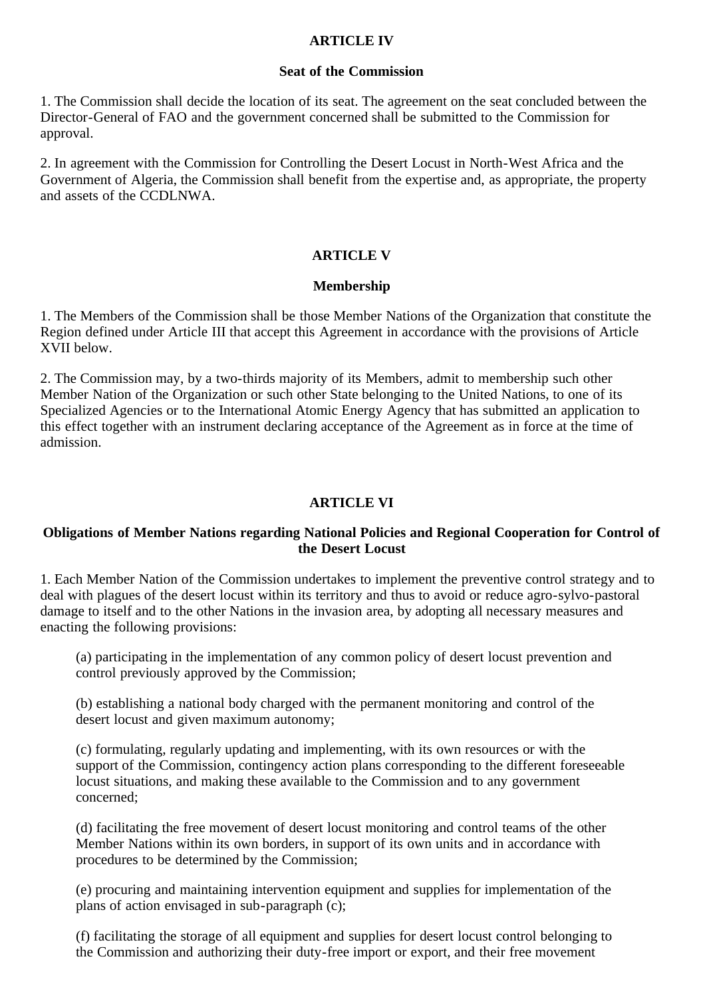### **ARTICLE IV**

#### **Seat of the Commission**

1. The Commission shall decide the location of its seat. The agreement on the seat concluded between the Director-General of FAO and the government concerned shall be submitted to the Commission for approval.

2. In agreement with the Commission for Controlling the Desert Locust in North-West Africa and the Government of Algeria, the Commission shall benefit from the expertise and, as appropriate, the property and assets of the CCDLNWA.

### **ARTICLE V**

#### **Membership**

1. The Members of the Commission shall be those Member Nations of the Organization that constitute the Region defined under Article III that accept this Agreement in accordance with the provisions of Article XVII below.

2. The Commission may, by a two-thirds majority of its Members, admit to membership such other Member Nation of the Organization or such other State belonging to the United Nations, to one of its Specialized Agencies or to the International Atomic Energy Agency that has submitted an application to this effect together with an instrument declaring acceptance of the Agreement as in force at the time of admission.

# **ARTICLE VI**

### **Obligations of Member Nations regarding National Policies and Regional Cooperation for Control of the Desert Locust**

1. Each Member Nation of the Commission undertakes to implement the preventive control strategy and to deal with plagues of the desert locust within its territory and thus to avoid or reduce agro-sylvo-pastoral damage to itself and to the other Nations in the invasion area, by adopting all necessary measures and enacting the following provisions:

(a) participating in the implementation of any common policy of desert locust prevention and control previously approved by the Commission;

(b) establishing a national body charged with the permanent monitoring and control of the desert locust and given maximum autonomy;

(c) formulating, regularly updating and implementing, with its own resources or with the support of the Commission, contingency action plans corresponding to the different foreseeable locust situations, and making these available to the Commission and to any government concerned;

(d) facilitating the free movement of desert locust monitoring and control teams of the other Member Nations within its own borders, in support of its own units and in accordance with procedures to be determined by the Commission;

(e) procuring and maintaining intervention equipment and supplies for implementation of the plans of action envisaged in sub-paragraph (c);

(f) facilitating the storage of all equipment and supplies for desert locust control belonging to the Commission and authorizing their duty-free import or export, and their free movement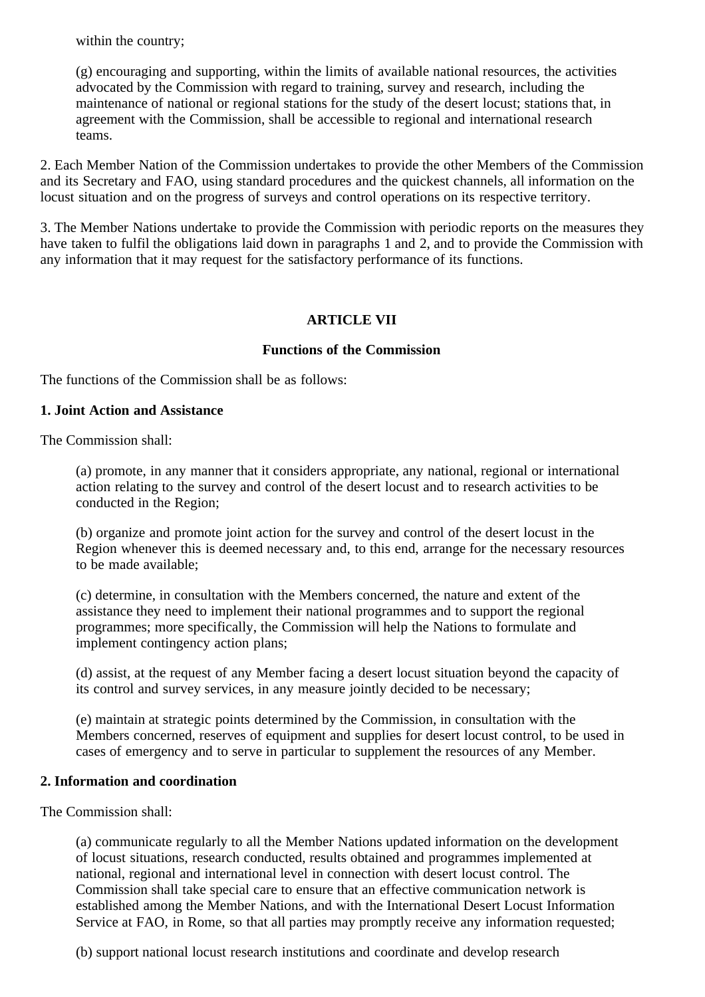within the country;

(g) encouraging and supporting, within the limits of available national resources, the activities advocated by the Commission with regard to training, survey and research, including the maintenance of national or regional stations for the study of the desert locust; stations that, in agreement with the Commission, shall be accessible to regional and international research teams.

2. Each Member Nation of the Commission undertakes to provide the other Members of the Commission and its Secretary and FAO, using standard procedures and the quickest channels, all information on the locust situation and on the progress of surveys and control operations on its respective territory.

3. The Member Nations undertake to provide the Commission with periodic reports on the measures they have taken to fulfil the obligations laid down in paragraphs 1 and 2, and to provide the Commission with any information that it may request for the satisfactory performance of its functions.

# **ARTICLE VII**

### **Functions of the Commission**

The functions of the Commission shall be as follows:

#### **1. Joint Action and Assistance**

The Commission shall:

(a) promote, in any manner that it considers appropriate, any national, regional or international action relating to the survey and control of the desert locust and to research activities to be conducted in the Region;

(b) organize and promote joint action for the survey and control of the desert locust in the Region whenever this is deemed necessary and, to this end, arrange for the necessary resources to be made available;

(c) determine, in consultation with the Members concerned, the nature and extent of the assistance they need to implement their national programmes and to support the regional programmes; more specifically, the Commission will help the Nations to formulate and implement contingency action plans;

(d) assist, at the request of any Member facing a desert locust situation beyond the capacity of its control and survey services, in any measure jointly decided to be necessary;

(e) maintain at strategic points determined by the Commission, in consultation with the Members concerned, reserves of equipment and supplies for desert locust control, to be used in cases of emergency and to serve in particular to supplement the resources of any Member.

#### **2. Information and coordination**

The Commission shall:

(a) communicate regularly to all the Member Nations updated information on the development of locust situations, research conducted, results obtained and programmes implemented at national, regional and international level in connection with desert locust control. The Commission shall take special care to ensure that an effective communication network is established among the Member Nations, and with the International Desert Locust Information Service at FAO, in Rome, so that all parties may promptly receive any information requested;

(b) support national locust research institutions and coordinate and develop research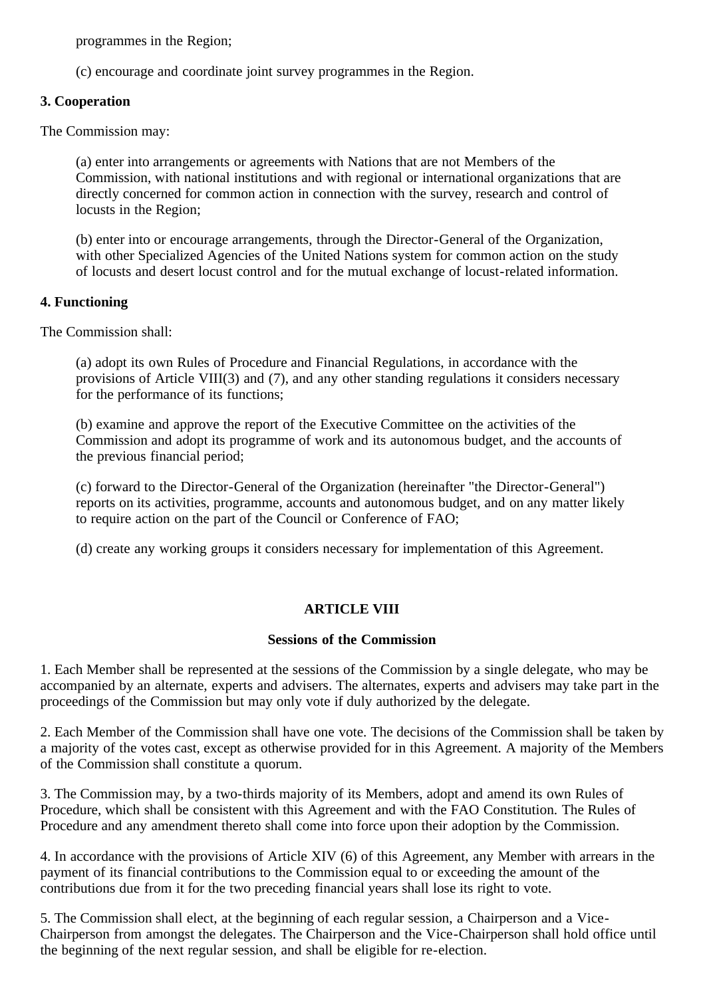programmes in the Region;

(c) encourage and coordinate joint survey programmes in the Region.

# **3. Cooperation**

The Commission may:

(a) enter into arrangements or agreements with Nations that are not Members of the Commission, with national institutions and with regional or international organizations that are directly concerned for common action in connection with the survey, research and control of locusts in the Region;

(b) enter into or encourage arrangements, through the Director-General of the Organization, with other Specialized Agencies of the United Nations system for common action on the study of locusts and desert locust control and for the mutual exchange of locust-related information.

# **4. Functioning**

The Commission shall:

(a) adopt its own Rules of Procedure and Financial Regulations, in accordance with the provisions of Article VIII(3) and (7), and any other standing regulations it considers necessary for the performance of its functions;

(b) examine and approve the report of the Executive Committee on the activities of the Commission and adopt its programme of work and its autonomous budget, and the accounts of the previous financial period;

(c) forward to the Director-General of the Organization (hereinafter "the Director-General") reports on its activities, programme, accounts and autonomous budget, and on any matter likely to require action on the part of the Council or Conference of FAO;

(d) create any working groups it considers necessary for implementation of this Agreement.

# **ARTICLE VIII**

# **Sessions of the Commission**

1. Each Member shall be represented at the sessions of the Commission by a single delegate, who may be accompanied by an alternate, experts and advisers. The alternates, experts and advisers may take part in the proceedings of the Commission but may only vote if duly authorized by the delegate.

2. Each Member of the Commission shall have one vote. The decisions of the Commission shall be taken by a majority of the votes cast, except as otherwise provided for in this Agreement. A majority of the Members of the Commission shall constitute a quorum.

3. The Commission may, by a two-thirds majority of its Members, adopt and amend its own Rules of Procedure, which shall be consistent with this Agreement and with the FAO Constitution. The Rules of Procedure and any amendment thereto shall come into force upon their adoption by the Commission.

4. In accordance with the provisions of Article XIV (6) of this Agreement, any Member with arrears in the payment of its financial contributions to the Commission equal to or exceeding the amount of the contributions due from it for the two preceding financial years shall lose its right to vote.

5. The Commission shall elect, at the beginning of each regular session, a Chairperson and a Vice-Chairperson from amongst the delegates. The Chairperson and the Vice-Chairperson shall hold office until the beginning of the next regular session, and shall be eligible for re-election.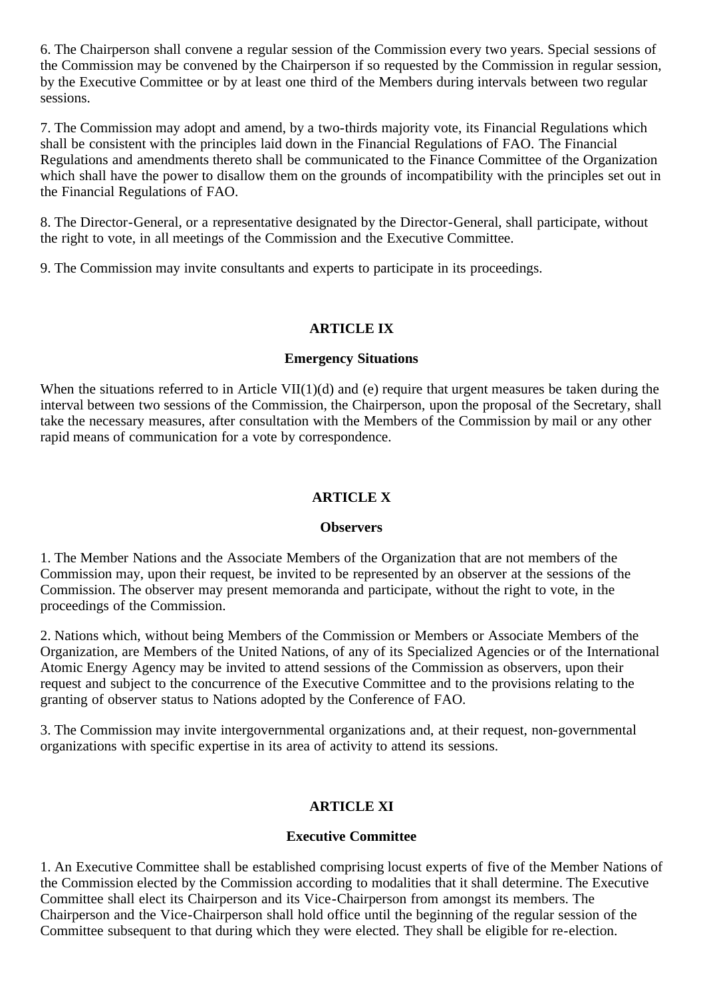6. The Chairperson shall convene a regular session of the Commission every two years. Special sessions of the Commission may be convened by the Chairperson if so requested by the Commission in regular session, by the Executive Committee or by at least one third of the Members during intervals between two regular sessions.

7. The Commission may adopt and amend, by a two-thirds majority vote, its Financial Regulations which shall be consistent with the principles laid down in the Financial Regulations of FAO. The Financial Regulations and amendments thereto shall be communicated to the Finance Committee of the Organization which shall have the power to disallow them on the grounds of incompatibility with the principles set out in the Financial Regulations of FAO.

8. The Director-General, or a representative designated by the Director-General, shall participate, without the right to vote, in all meetings of the Commission and the Executive Committee.

9. The Commission may invite consultants and experts to participate in its proceedings.

### **ARTICLE IX**

#### **Emergency Situations**

When the situations referred to in Article VII(1)(d) and (e) require that urgent measures be taken during the interval between two sessions of the Commission, the Chairperson, upon the proposal of the Secretary, shall take the necessary measures, after consultation with the Members of the Commission by mail or any other rapid means of communication for a vote by correspondence.

### **ARTICLE X**

#### **Observers**

1. The Member Nations and the Associate Members of the Organization that are not members of the Commission may, upon their request, be invited to be represented by an observer at the sessions of the Commission. The observer may present memoranda and participate, without the right to vote, in the proceedings of the Commission.

2. Nations which, without being Members of the Commission or Members or Associate Members of the Organization, are Members of the United Nations, of any of its Specialized Agencies or of the International Atomic Energy Agency may be invited to attend sessions of the Commission as observers, upon their request and subject to the concurrence of the Executive Committee and to the provisions relating to the granting of observer status to Nations adopted by the Conference of FAO.

3. The Commission may invite intergovernmental organizations and, at their request, non-governmental organizations with specific expertise in its area of activity to attend its sessions.

# **ARTICLE XI**

#### **Executive Committee**

1. An Executive Committee shall be established comprising locust experts of five of the Member Nations of the Commission elected by the Commission according to modalities that it shall determine. The Executive Committee shall elect its Chairperson and its Vice-Chairperson from amongst its members. The Chairperson and the Vice-Chairperson shall hold office until the beginning of the regular session of the Committee subsequent to that during which they were elected. They shall be eligible for re-election.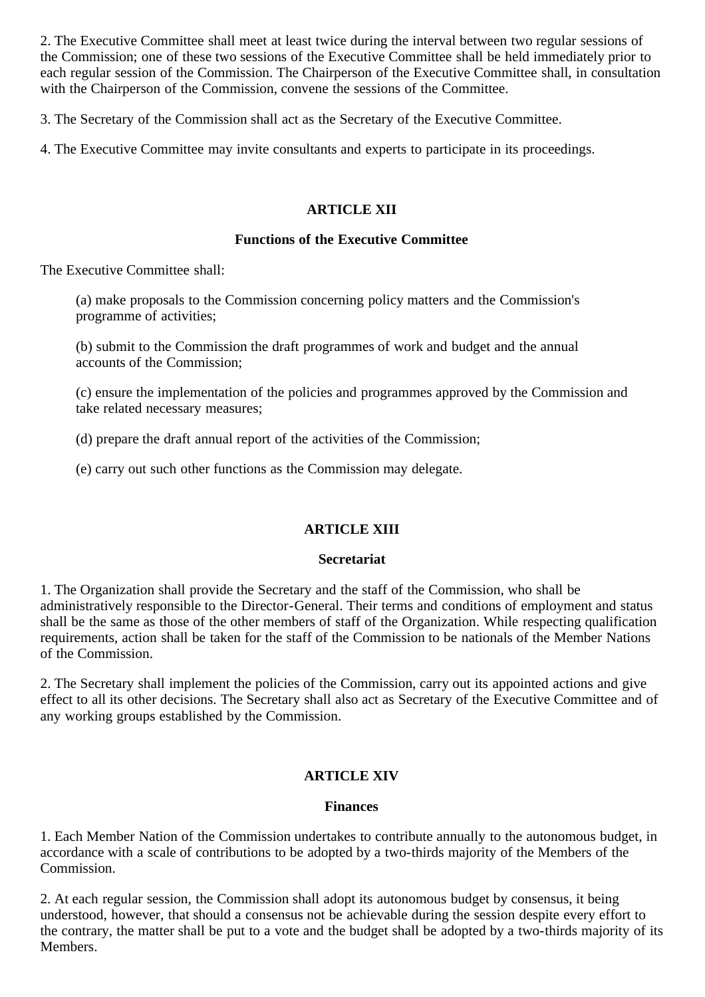2. The Executive Committee shall meet at least twice during the interval between two regular sessions of the Commission; one of these two sessions of the Executive Committee shall be held immediately prior to each regular session of the Commission. The Chairperson of the Executive Committee shall, in consultation with the Chairperson of the Commission, convene the sessions of the Committee.

3. The Secretary of the Commission shall act as the Secretary of the Executive Committee.

4. The Executive Committee may invite consultants and experts to participate in its proceedings.

# **ARTICLE XII**

### **Functions of the Executive Committee**

The Executive Committee shall:

(a) make proposals to the Commission concerning policy matters and the Commission's programme of activities;

(b) submit to the Commission the draft programmes of work and budget and the annual accounts of the Commission;

(c) ensure the implementation of the policies and programmes approved by the Commission and take related necessary measures;

(d) prepare the draft annual report of the activities of the Commission;

(e) carry out such other functions as the Commission may delegate.

# **ARTICLE XIII**

#### **Secretariat**

1. The Organization shall provide the Secretary and the staff of the Commission, who shall be administratively responsible to the Director-General. Their terms and conditions of employment and status shall be the same as those of the other members of staff of the Organization. While respecting qualification requirements, action shall be taken for the staff of the Commission to be nationals of the Member Nations of the Commission.

2. The Secretary shall implement the policies of the Commission, carry out its appointed actions and give effect to all its other decisions. The Secretary shall also act as Secretary of the Executive Committee and of any working groups established by the Commission.

# **ARTICLE XIV**

#### **Finances**

1. Each Member Nation of the Commission undertakes to contribute annually to the autonomous budget, in accordance with a scale of contributions to be adopted by a two-thirds majority of the Members of the Commission.

2. At each regular session, the Commission shall adopt its autonomous budget by consensus, it being understood, however, that should a consensus not be achievable during the session despite every effort to the contrary, the matter shall be put to a vote and the budget shall be adopted by a two-thirds majority of its Members.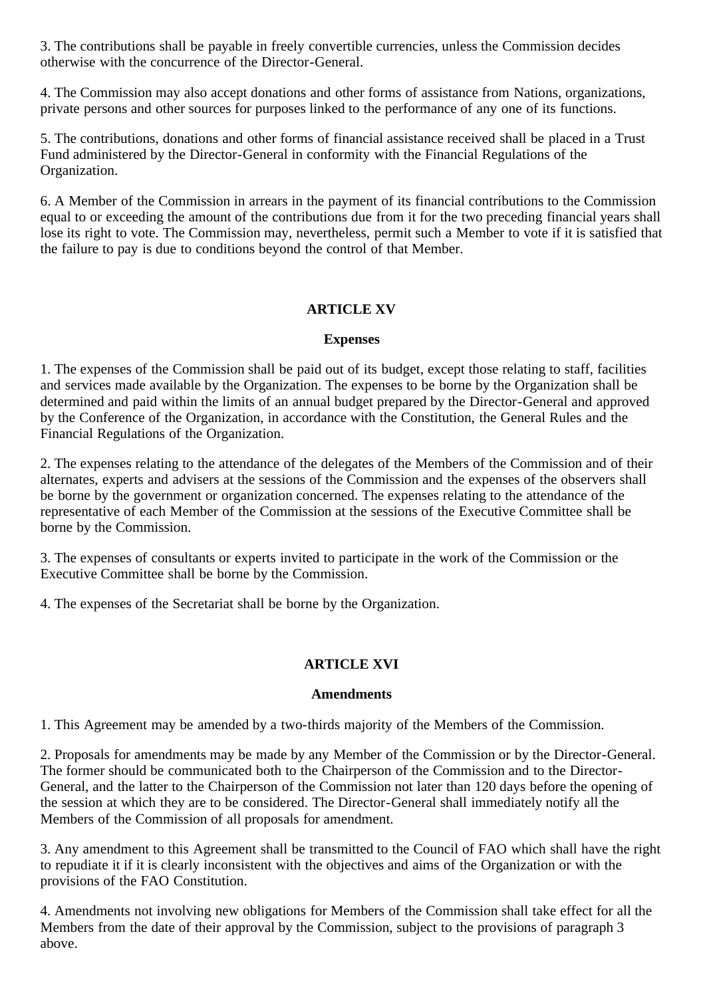3. The contributions shall be payable in freely convertible currencies, unless the Commission decides otherwise with the concurrence of the Director-General.

4. The Commission may also accept donations and other forms of assistance from Nations, organizations, private persons and other sources for purposes linked to the performance of any one of its functions.

5. The contributions, donations and other forms of financial assistance received shall be placed in a Trust Fund administered by the Director-General in conformity with the Financial Regulations of the Organization.

6. A Member of the Commission in arrears in the payment of its financial contributions to the Commission equal to or exceeding the amount of the contributions due from it for the two preceding financial years shall lose its right to vote. The Commission may, nevertheless, permit such a Member to vote if it is satisfied that the failure to pay is due to conditions beyond the control of that Member.

# **ARTICLE XV**

### **Expenses**

1. The expenses of the Commission shall be paid out of its budget, except those relating to staff, facilities and services made available by the Organization. The expenses to be borne by the Organization shall be determined and paid within the limits of an annual budget prepared by the Director-General and approved by the Conference of the Organization, in accordance with the Constitution, the General Rules and the Financial Regulations of the Organization.

2. The expenses relating to the attendance of the delegates of the Members of the Commission and of their alternates, experts and advisers at the sessions of the Commission and the expenses of the observers shall be borne by the government or organization concerned. The expenses relating to the attendance of the representative of each Member of the Commission at the sessions of the Executive Committee shall be borne by the Commission.

3. The expenses of consultants or experts invited to participate in the work of the Commission or the Executive Committee shall be borne by the Commission.

4. The expenses of the Secretariat shall be borne by the Organization.

# **ARTICLE XVI**

#### **Amendments**

1. This Agreement may be amended by a two-thirds majority of the Members of the Commission.

2. Proposals for amendments may be made by any Member of the Commission or by the Director-General. The former should be communicated both to the Chairperson of the Commission and to the Director-General, and the latter to the Chairperson of the Commission not later than 120 days before the opening of the session at which they are to be considered. The Director-General shall immediately notify all the Members of the Commission of all proposals for amendment.

3. Any amendment to this Agreement shall be transmitted to the Council of FAO which shall have the right to repudiate it if it is clearly inconsistent with the objectives and aims of the Organization or with the provisions of the FAO Constitution.

4. Amendments not involving new obligations for Members of the Commission shall take effect for all the Members from the date of their approval by the Commission, subject to the provisions of paragraph 3 above.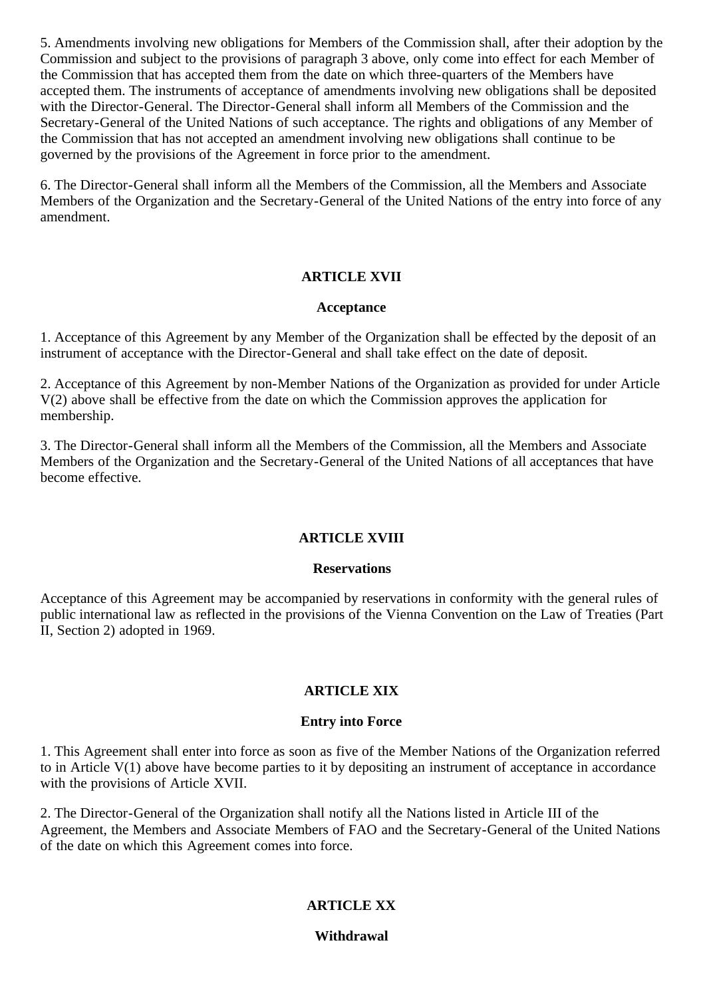5. Amendments involving new obligations for Members of the Commission shall, after their adoption by the Commission and subject to the provisions of paragraph 3 above, only come into effect for each Member of the Commission that has accepted them from the date on which three-quarters of the Members have accepted them. The instruments of acceptance of amendments involving new obligations shall be deposited with the Director-General. The Director-General shall inform all Members of the Commission and the Secretary-General of the United Nations of such acceptance. The rights and obligations of any Member of the Commission that has not accepted an amendment involving new obligations shall continue to be governed by the provisions of the Agreement in force prior to the amendment.

6. The Director-General shall inform all the Members of the Commission, all the Members and Associate Members of the Organization and the Secretary-General of the United Nations of the entry into force of any amendment.

# **ARTICLE XVII**

#### **Acceptance**

1. Acceptance of this Agreement by any Member of the Organization shall be effected by the deposit of an instrument of acceptance with the Director-General and shall take effect on the date of deposit.

2. Acceptance of this Agreement by non-Member Nations of the Organization as provided for under Article V(2) above shall be effective from the date on which the Commission approves the application for membership.

3. The Director-General shall inform all the Members of the Commission, all the Members and Associate Members of the Organization and the Secretary-General of the United Nations of all acceptances that have become effective.

# **ARTICLE XVIII**

#### **Reservations**

Acceptance of this Agreement may be accompanied by reservations in conformity with the general rules of public international law as reflected in the provisions of the Vienna Convention on the Law of Treaties (Part II, Section 2) adopted in 1969.

# **ARTICLE XIX**

#### **Entry into Force**

1. This Agreement shall enter into force as soon as five of the Member Nations of the Organization referred to in Article V(1) above have become parties to it by depositing an instrument of acceptance in accordance with the provisions of Article XVII.

2. The Director-General of the Organization shall notify all the Nations listed in Article III of the Agreement, the Members and Associate Members of FAO and the Secretary-General of the United Nations of the date on which this Agreement comes into force.

# **ARTICLE XX**

# **Withdrawal**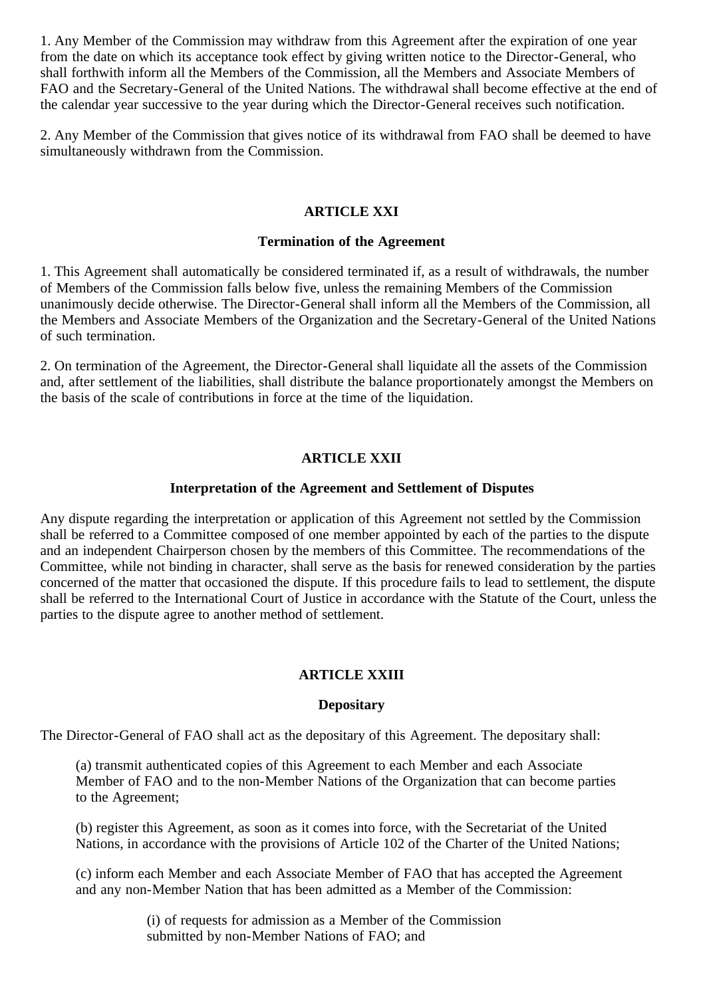1. Any Member of the Commission may withdraw from this Agreement after the expiration of one year from the date on which its acceptance took effect by giving written notice to the Director-General, who shall forthwith inform all the Members of the Commission, all the Members and Associate Members of FAO and the Secretary-General of the United Nations. The withdrawal shall become effective at the end of the calendar year successive to the year during which the Director-General receives such notification.

2. Any Member of the Commission that gives notice of its withdrawal from FAO shall be deemed to have simultaneously withdrawn from the Commission.

#### **ARTICLE XXI**

#### **Termination of the Agreement**

1. This Agreement shall automatically be considered terminated if, as a result of withdrawals, the number of Members of the Commission falls below five, unless the remaining Members of the Commission unanimously decide otherwise. The Director-General shall inform all the Members of the Commission, all the Members and Associate Members of the Organization and the Secretary-General of the United Nations of such termination.

2. On termination of the Agreement, the Director-General shall liquidate all the assets of the Commission and, after settlement of the liabilities, shall distribute the balance proportionately amongst the Members on the basis of the scale of contributions in force at the time of the liquidation.

# **ARTICLE XXII**

### **Interpretation of the Agreement and Settlement of Disputes**

Any dispute regarding the interpretation or application of this Agreement not settled by the Commission shall be referred to a Committee composed of one member appointed by each of the parties to the dispute and an independent Chairperson chosen by the members of this Committee. The recommendations of the Committee, while not binding in character, shall serve as the basis for renewed consideration by the parties concerned of the matter that occasioned the dispute. If this procedure fails to lead to settlement, the dispute shall be referred to the International Court of Justice in accordance with the Statute of the Court, unless the parties to the dispute agree to another method of settlement.

# **ARTICLE XXIII**

# **Depositary**

The Director-General of FAO shall act as the depositary of this Agreement. The depositary shall:

(a) transmit authenticated copies of this Agreement to each Member and each Associate Member of FAO and to the non-Member Nations of the Organization that can become parties to the Agreement;

(b) register this Agreement, as soon as it comes into force, with the Secretariat of the United Nations, in accordance with the provisions of Article 102 of the Charter of the United Nations;

(c) inform each Member and each Associate Member of FAO that has accepted the Agreement and any non-Member Nation that has been admitted as a Member of the Commission:

> (i) of requests for admission as a Member of the Commission submitted by non-Member Nations of FAO; and